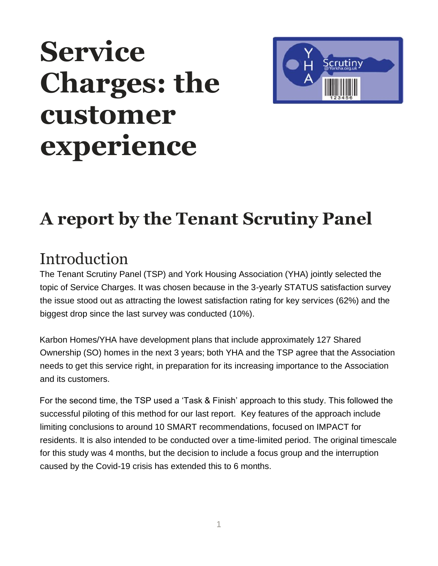# **Service Charges: the customer experience**



# **A report by the Tenant Scrutiny Panel**

#### **Introduction**

The Tenant Scrutiny Panel (TSP) and York Housing Association (YHA) jointly selected the topic of Service Charges. It was chosen because in the 3-yearly STATUS satisfaction survey the issue stood out as attracting the lowest satisfaction rating for key services (62%) and the biggest drop since the last survey was conducted (10%).

Karbon Homes/YHA have development plans that include approximately 127 Shared Ownership (SO) homes in the next 3 years; both YHA and the TSP agree that the Association needs to get this service right, in preparation for its increasing importance to the Association and its customers.

For the second time, the TSP used a 'Task & Finish' approach to this study. This followed the successful piloting of this method for our last report. Key features of the approach include limiting conclusions to around 10 SMART recommendations, focused on IMPACT for residents. It is also intended to be conducted over a time-limited period. The original timescale for this study was 4 months, but the decision to include a focus group and the interruption caused by the Covid-19 crisis has extended this to 6 months.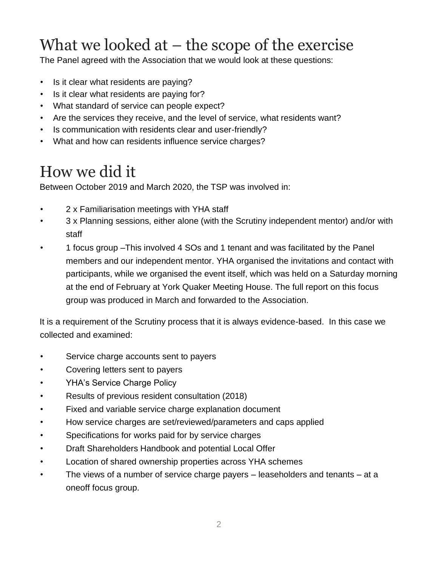### What we looked at  $-$  the scope of the exercise

The Panel agreed with the Association that we would look at these questions:

- Is it clear what residents are paying?
- Is it clear what residents are paying for?
- What standard of service can people expect?
- Are the services they receive, and the level of service, what residents want?
- Is communication with residents clear and user-friendly?
- What and how can residents influence service charges?

### How we did it

Between October 2019 and March 2020, the TSP was involved in:

- 2 x Familiarisation meetings with YHA staff
- 3 x Planning sessions, either alone (with the Scrutiny independent mentor) and/or with staff
- 1 focus group –This involved 4 SOs and 1 tenant and was facilitated by the Panel members and our independent mentor. YHA organised the invitations and contact with participants, while we organised the event itself, which was held on a Saturday morning at the end of February at York Quaker Meeting House. The full report on this focus group was produced in March and forwarded to the Association.

It is a requirement of the Scrutiny process that it is always evidence-based. In this case we collected and examined:

- Service charge accounts sent to payers
- Covering letters sent to payers
- YHA's Service Charge Policy
- Results of previous resident consultation (2018)
- Fixed and variable service charge explanation document
- How service charges are set/reviewed/parameters and caps applied
- Specifications for works paid for by service charges
- Draft Shareholders Handbook and potential Local Offer
- Location of shared ownership properties across YHA schemes
- The views of a number of service charge payers leaseholders and tenants at a oneoff focus group.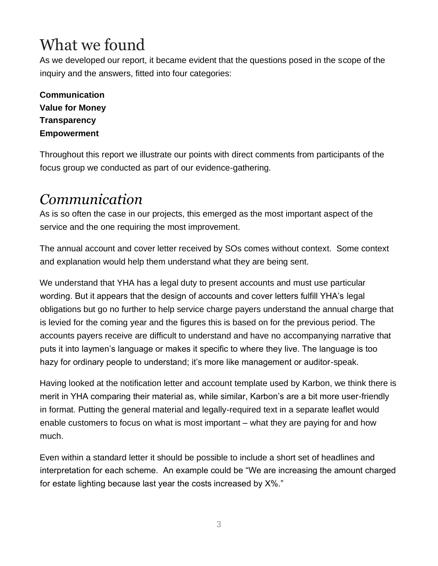### What we found

As we developed our report, it became evident that the questions posed in the scope of the inquiry and the answers, fitted into four categories:

**Communication Value for Money Transparency Empowerment** 

Throughout this report we illustrate our points with direct comments from participants of the focus group we conducted as part of our evidence-gathering.

#### *Communication*

As is so often the case in our projects, this emerged as the most important aspect of the service and the one requiring the most improvement.

The annual account and cover letter received by SOs comes without context. Some context and explanation would help them understand what they are being sent.

We understand that YHA has a legal duty to present accounts and must use particular wording. But it appears that the design of accounts and cover letters fulfill YHA's legal obligations but go no further to help service charge payers understand the annual charge that is levied for the coming year and the figures this is based on for the previous period. The accounts payers receive are difficult to understand and have no accompanying narrative that puts it into laymen's language or makes it specific to where they live. The language is too hazy for ordinary people to understand; it's more like management or auditor-speak.

Having looked at the notification letter and account template used by Karbon, we think there is merit in YHA comparing their material as, while similar, Karbon's are a bit more user-friendly in format. Putting the general material and legally-required text in a separate leaflet would enable customers to focus on what is most important – what they are paying for and how much.

Even within a standard letter it should be possible to include a short set of headlines and interpretation for each scheme. An example could be "We are increasing the amount charged for estate lighting because last year the costs increased by X%."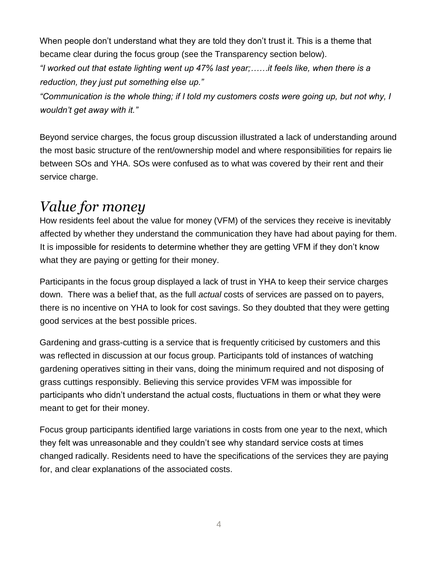When people don't understand what they are told they don't trust it. This is a theme that became clear during the focus group (see the Transparency section below).

*"I worked out that estate lighting went up 47% last year;……it feels like, when there is a reduction, they just put something else up."* 

*"Communication is the whole thing; if I told my customers costs were going up, but not why, I wouldn't get away with it."*

Beyond service charges, the focus group discussion illustrated a lack of understanding around the most basic structure of the rent/ownership model and where responsibilities for repairs lie between SOs and YHA. SOs were confused as to what was covered by their rent and their service charge.

#### *Value for money*

How residents feel about the value for money (VFM) of the services they receive is inevitably affected by whether they understand the communication they have had about paying for them. It is impossible for residents to determine whether they are getting VFM if they don't know what they are paying or getting for their money.

Participants in the focus group displayed a lack of trust in YHA to keep their service charges down. There was a belief that, as the full *actual* costs of services are passed on to payers, there is no incentive on YHA to look for cost savings. So they doubted that they were getting good services at the best possible prices.

Gardening and grass-cutting is a service that is frequently criticised by customers and this was reflected in discussion at our focus group. Participants told of instances of watching gardening operatives sitting in their vans, doing the minimum required and not disposing of grass cuttings responsibly. Believing this service provides VFM was impossible for participants who didn't understand the actual costs, fluctuations in them or what they were meant to get for their money.

Focus group participants identified large variations in costs from one year to the next, which they felt was unreasonable and they couldn't see why standard service costs at times changed radically. Residents need to have the specifications of the services they are paying for, and clear explanations of the associated costs.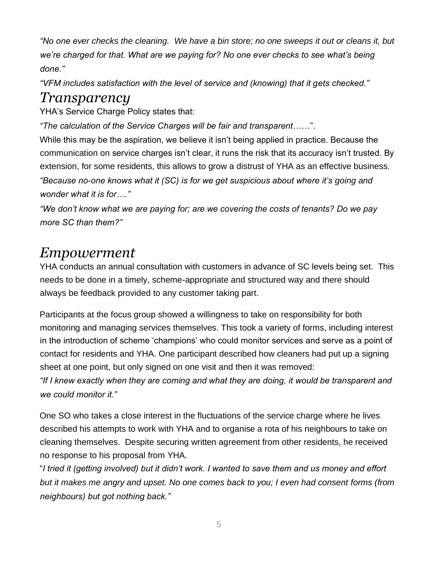*"No one ever checks the cleaning. We have a bin store; no one sweeps it out or cleans it, but we're charged for that. What are we paying for? No one ever checks to see what's being done."* 

*"VFM includes satisfaction with the level of service and (knowing) that it gets checked."* 

#### *Transparency*

YHA's Service Charge Policy states that:

*"The calculation of the Service Charges will be fair and transparent*……".

While this may be the aspiration, we believe it isn't being applied in practice. Because the communication on service charges isn't clear, it runs the risk that its accuracy isn't trusted. By extension, for some residents, this allows to grow a distrust of YHA as an effective business. *"Because no-one knows what it (SC) is for we get suspicious about where it's going and wonder what it is for…."* 

*"We don't know what we are paying for; are we covering the costs of tenants? Do we pay more SC than them?"*

#### *Empowerment*

YHA conducts an annual consultation with customers in advance of SC levels being set. This needs to be done in a timely, scheme-appropriate and structured way and there should always be feedback provided to any customer taking part.

Participants at the focus group showed a willingness to take on responsibility for both monitoring and managing services themselves. This took a variety of forms, including interest in the introduction of scheme 'champions' who could monitor services and serve as a point of contact for residents and YHA. One participant described how cleaners had put up a signing sheet at one point, but only signed on one visit and then it was removed:

*"If I knew exactly when they are coming and what they are doing, it would be transparent and we could monitor it."* 

One SO who takes a close interest in the fluctuations of the service charge where he lives described his attempts to work with YHA and to organise a rota of his neighbours to take on cleaning themselves. Despite securing written agreement from other residents, he received no response to his proposal from YHA.

"*I tried it (getting involved) but it didn't work. I wanted to save them and us money and effort but it makes me angry and upset. No one comes back to you; I even had consent forms (from neighbours) but got nothing back."*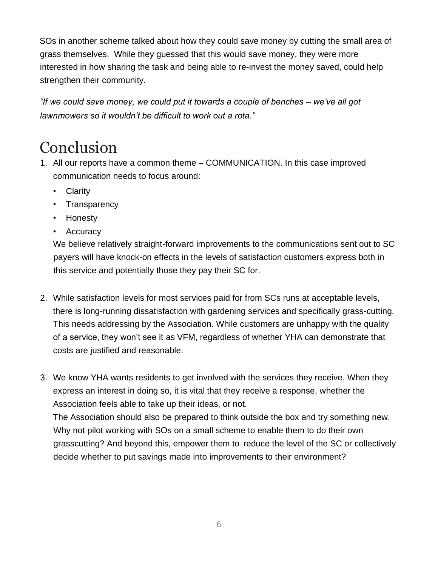SOs in another scheme talked about how they could save money by cutting the small area of grass themselves. While they guessed that this would save money, they were more interested in how sharing the task and being able to re-invest the money saved, could help strengthen their community.

*"If we could save money, we could put it towards a couple of benches – we've all got lawnmowers so it wouldn't be difficult to work out a rota."* 

#### Conclusion

- 1. All our reports have a common theme COMMUNICATION. In this case improved communication needs to focus around:
	- Clarity
	- Transparency
	- Honesty
	- Accuracy

We believe relatively straight-forward improvements to the communications sent out to SC payers will have knock-on effects in the levels of satisfaction customers express both in this service and potentially those they pay their SC for.

- 2. While satisfaction levels for most services paid for from SCs runs at acceptable levels, there is long-running dissatisfaction with gardening services and specifically grass-cutting. This needs addressing by the Association. While customers are unhappy with the quality of a service, they won't see it as VFM, regardless of whether YHA can demonstrate that costs are justified and reasonable.
- 3. We know YHA wants residents to get involved with the services they receive. When they express an interest in doing so, it is vital that they receive a response, whether the Association feels able to take up their ideas, or not.

The Association should also be prepared to think outside the box and try something new. Why not pilot working with SOs on a small scheme to enable them to do their own grasscutting? And beyond this, empower them to reduce the level of the SC or collectively decide whether to put savings made into improvements to their environment?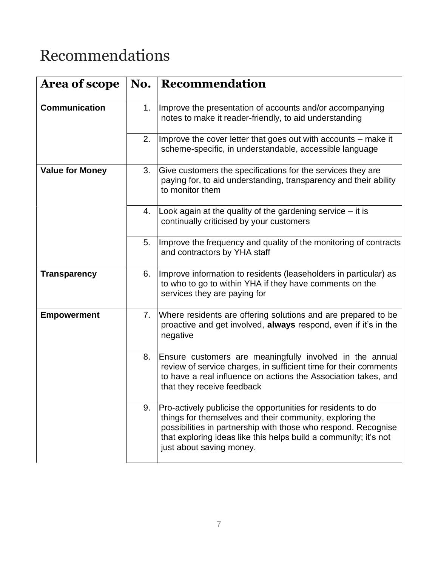### Recommendations

| <b>Area of scope</b>   | No. | Recommendation                                                                                                                                                                                                                                                                             |
|------------------------|-----|--------------------------------------------------------------------------------------------------------------------------------------------------------------------------------------------------------------------------------------------------------------------------------------------|
| <b>Communication</b>   | 1.  | Improve the presentation of accounts and/or accompanying<br>notes to make it reader-friendly, to aid understanding                                                                                                                                                                         |
|                        | 2.  | Improve the cover letter that goes out with accounts – make it<br>scheme-specific, in understandable, accessible language                                                                                                                                                                  |
| <b>Value for Money</b> | 3.  | Give customers the specifications for the services they are<br>paying for, to aid understanding, transparency and their ability<br>to monitor them                                                                                                                                         |
|                        | 4.  | Look again at the quality of the gardening service - it is<br>continually criticised by your customers                                                                                                                                                                                     |
|                        | 5.  | Improve the frequency and quality of the monitoring of contracts<br>and contractors by YHA staff                                                                                                                                                                                           |
| <b>Transparency</b>    | 6.  | Improve information to residents (leaseholders in particular) as<br>to who to go to within YHA if they have comments on the<br>services they are paying for                                                                                                                                |
| <b>Empowerment</b>     | 7.  | Where residents are offering solutions and are prepared to be<br>proactive and get involved, always respond, even if it's in the<br>negative                                                                                                                                               |
|                        | 8.  | Ensure customers are meaningfully involved in the annual<br>review of service charges, in sufficient time for their comments<br>to have a real influence on actions the Association takes, and<br>that they receive feedback                                                               |
|                        | 9.  | Pro-actively publicise the opportunities for residents to do<br>things for themselves and their community, exploring the<br>possibilities in partnership with those who respond. Recognise<br>that exploring ideas like this helps build a community; it's not<br>just about saving money. |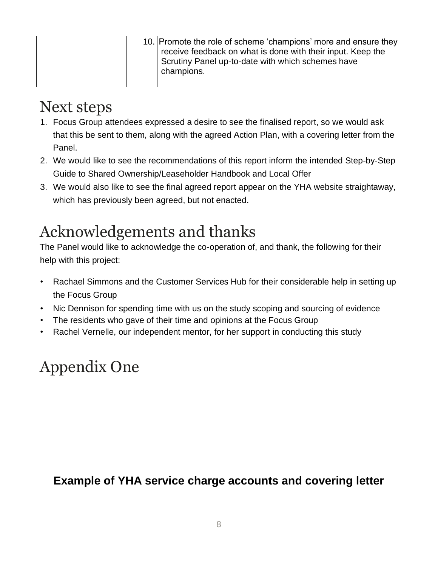| 10. Promote the role of scheme 'champions' more and ensure they<br>receive feedback on what is done with their input. Keep the<br>Scrutiny Panel up-to-date with which schemes have<br>champions. |  |
|---------------------------------------------------------------------------------------------------------------------------------------------------------------------------------------------------|--|
|---------------------------------------------------------------------------------------------------------------------------------------------------------------------------------------------------|--|

### Next steps

- 1. Focus Group attendees expressed a desire to see the finalised report, so we would ask that this be sent to them, along with the agreed Action Plan, with a covering letter from the Panel.
- 2. We would like to see the recommendations of this report inform the intended Step-by-Step Guide to Shared Ownership/Leaseholder Handbook and Local Offer
- 3. We would also like to see the final agreed report appear on the YHA website straightaway, which has previously been agreed, but not enacted.

### Acknowledgements and thanks

The Panel would like to acknowledge the co-operation of, and thank, the following for their help with this project:

- Rachael Simmons and the Customer Services Hub for their considerable help in setting up the Focus Group
- Nic Dennison for spending time with us on the study scoping and sourcing of evidence
- The residents who gave of their time and opinions at the Focus Group
- Rachel Vernelle, our independent mentor, for her support in conducting this study

## Appendix One

#### **Example of YHA service charge accounts and covering letter**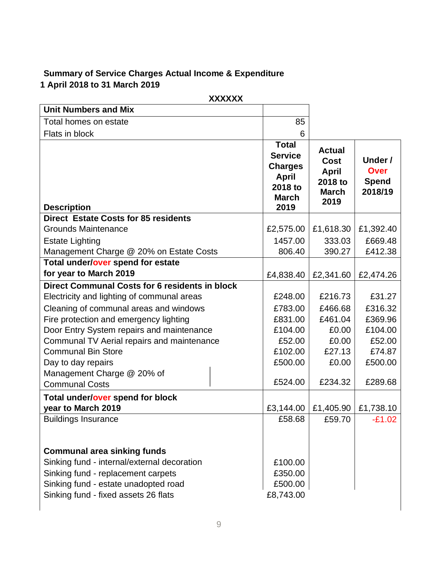#### **Summary of Service Charges Actual Income & Expenditure 1 April 2018 to 31 March 2019**

|                                                       | <b>XXXXXX</b> |                                                                                                     |                                                                          |                                                   |
|-------------------------------------------------------|---------------|-----------------------------------------------------------------------------------------------------|--------------------------------------------------------------------------|---------------------------------------------------|
| <b>Unit Numbers and Mix</b>                           |               |                                                                                                     |                                                                          |                                                   |
| Total homes on estate                                 |               | 85                                                                                                  |                                                                          |                                                   |
| Flats in block                                        |               | 6                                                                                                   |                                                                          |                                                   |
| <b>Description</b>                                    |               | <b>Total</b><br><b>Service</b><br><b>Charges</b><br><b>April</b><br>2018 to<br><b>March</b><br>2019 | <b>Actual</b><br>Cost<br><b>April</b><br>2018 to<br><b>March</b><br>2019 | Under /<br><b>Over</b><br><b>Spend</b><br>2018/19 |
| <b>Direct Estate Costs for 85 residents</b>           |               |                                                                                                     |                                                                          |                                                   |
| <b>Grounds Maintenance</b>                            |               | £2,575.00                                                                                           | £1,618.30                                                                | £1,392.40                                         |
| <b>Estate Lighting</b>                                |               | 1457.00                                                                                             | 333.03                                                                   | £669.48                                           |
| Management Charge @ 20% on Estate Costs               |               | 806.40                                                                                              | 390.27                                                                   | £412.38                                           |
| Total under/over spend for estate                     |               |                                                                                                     |                                                                          |                                                   |
| for year to March 2019                                |               | £4,838.40                                                                                           | £2,341.60                                                                | £2,474.26                                         |
| <b>Direct Communal Costs for 6 residents in block</b> |               |                                                                                                     |                                                                          |                                                   |
| Electricity and lighting of communal areas            |               | £248.00                                                                                             | £216.73                                                                  | £31.27                                            |
| Cleaning of communal areas and windows                |               | £783.00                                                                                             | £466.68                                                                  | £316.32                                           |
| Fire protection and emergency lighting                |               | £831.00                                                                                             | £461.04                                                                  | £369.96                                           |
| Door Entry System repairs and maintenance             |               | £104.00                                                                                             | £0.00                                                                    | £104.00                                           |
| Communal TV Aerial repairs and maintenance            |               | £52.00                                                                                              | £0.00                                                                    | £52.00                                            |
| <b>Communal Bin Store</b>                             |               | £102.00                                                                                             | £27.13                                                                   | £74.87                                            |
| Day to day repairs                                    |               | £500.00                                                                                             | £0.00                                                                    | £500.00                                           |
| Management Charge @ 20% of                            |               |                                                                                                     |                                                                          |                                                   |
| <b>Communal Costs</b>                                 |               | £524.00                                                                                             | £234.32                                                                  | £289.68                                           |
| Total under/over spend for block                      |               |                                                                                                     |                                                                          |                                                   |
| year to March 2019                                    |               | £3,144.00                                                                                           | £1,405.90                                                                | £1,738.10                                         |
| <b>Buildings Insurance</b>                            |               | £58.68                                                                                              | £59.70                                                                   | $-£1.02$                                          |
|                                                       |               |                                                                                                     |                                                                          |                                                   |
|                                                       |               |                                                                                                     |                                                                          |                                                   |
| <b>Communal area sinking funds</b>                    |               |                                                                                                     |                                                                          |                                                   |
| Sinking fund - internal/external decoration           |               | £100.00                                                                                             |                                                                          |                                                   |
| Sinking fund - replacement carpets                    |               | £350.00                                                                                             |                                                                          |                                                   |
| Sinking fund - estate unadopted road                  |               | £500.00                                                                                             |                                                                          |                                                   |
| Sinking fund - fixed assets 26 flats                  |               | £8,743.00                                                                                           |                                                                          |                                                   |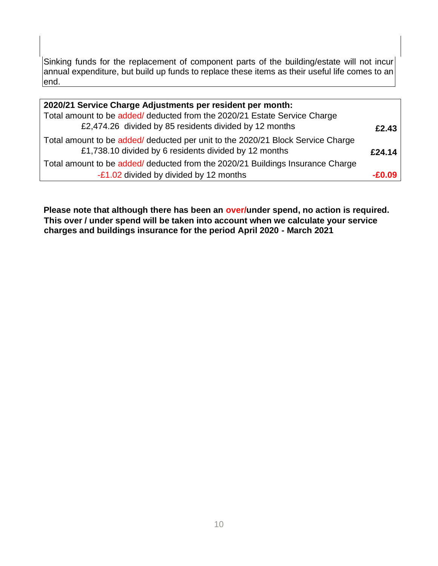Sinking funds for the replacement of component parts of the building/estate will not incur  $|$ annual expenditure, but build up funds to replace these items as their useful life comes to an end.

| 2020/21 Service Charge Adjustments per resident per month:                                                                               |        |
|------------------------------------------------------------------------------------------------------------------------------------------|--------|
| Total amount to be added/ deducted from the 2020/21 Estate Service Charge                                                                |        |
| £2,474.26 divided by 85 residents divided by 12 months                                                                                   | £2.43  |
| Total amount to be added/ deducted per unit to the 2020/21 Block Service Charge<br>£1,738.10 divided by 6 residents divided by 12 months | £24.14 |
| Total amount to be added/ deducted from the 2020/21 Buildings Insurance Charge                                                           |        |
| -£1.02 divided by divided by 12 months                                                                                                   | -£U Ud |

**Please note that although there has been an over/under spend, no action is required. This over / under spend will be taken into account when we calculate your service charges and buildings insurance for the period April 2020 - March 2021**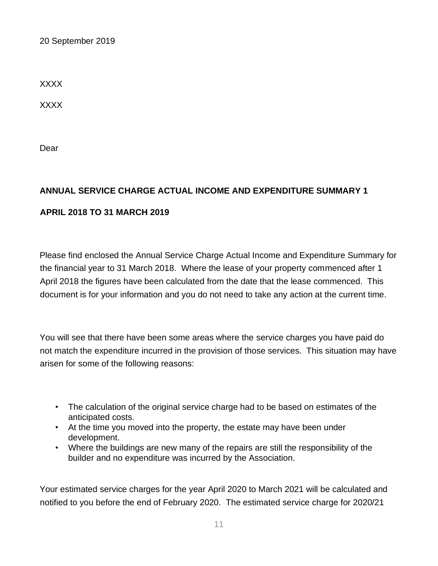20 September 2019

XXXX

XXXX

Dear

#### **ANNUAL SERVICE CHARGE ACTUAL INCOME AND EXPENDITURE SUMMARY 1**

#### **APRIL 2018 TO 31 MARCH 2019**

Please find enclosed the Annual Service Charge Actual Income and Expenditure Summary for the financial year to 31 March 2018. Where the lease of your property commenced after 1 April 2018 the figures have been calculated from the date that the lease commenced. This document is for your information and you do not need to take any action at the current time.

You will see that there have been some areas where the service charges you have paid do not match the expenditure incurred in the provision of those services. This situation may have arisen for some of the following reasons:

- The calculation of the original service charge had to be based on estimates of the anticipated costs.
- At the time you moved into the property, the estate may have been under development.
- Where the buildings are new many of the repairs are still the responsibility of the builder and no expenditure was incurred by the Association.

Your estimated service charges for the year April 2020 to March 2021 will be calculated and notified to you before the end of February 2020. The estimated service charge for 2020/21